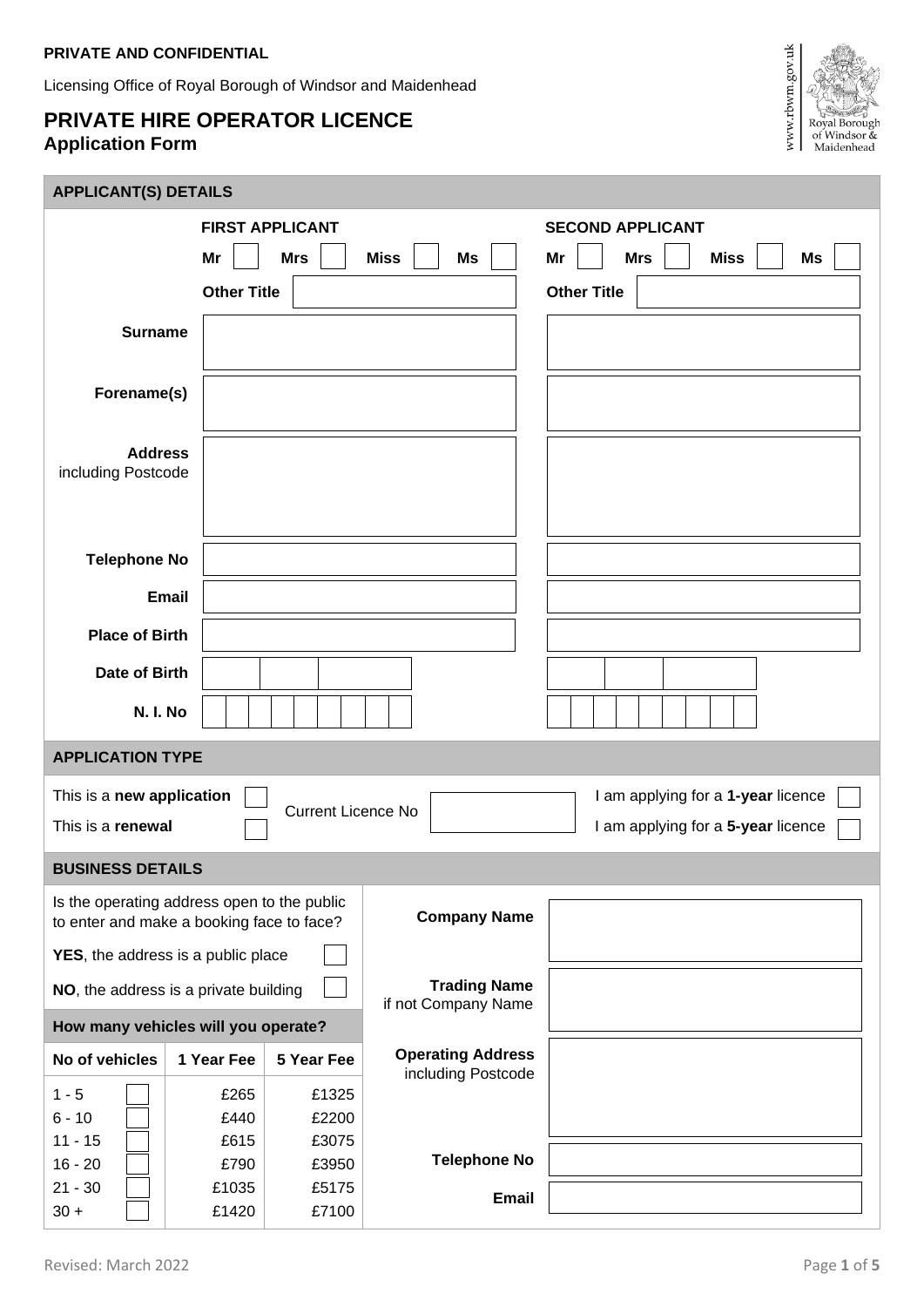## **PRIVATE AND CONFIDENTIAL**

Licensing Office of Royal Borough of Windsor and Maidenhead

## **PRIVATE HIRE OPERATOR LICENCE Application Form**



## **APPLICANT(S) DETAILS**

| <b>FIRST APPLICANT</b>                                                                   |                    |                           | <b>SECOND APPLICANT</b>                        |                                       |  |
|------------------------------------------------------------------------------------------|--------------------|---------------------------|------------------------------------------------|---------------------------------------|--|
|                                                                                          | Mr                 | <b>Mrs</b>                | <b>Miss</b><br>Ms                              | <b>Miss</b><br>Ms<br>Mr<br><b>Mrs</b> |  |
|                                                                                          | <b>Other Title</b> |                           |                                                | <b>Other Title</b>                    |  |
| <b>Surname</b>                                                                           |                    |                           |                                                |                                       |  |
|                                                                                          |                    |                           |                                                |                                       |  |
| Forename(s)                                                                              |                    |                           |                                                |                                       |  |
|                                                                                          |                    |                           |                                                |                                       |  |
| <b>Address</b>                                                                           |                    |                           |                                                |                                       |  |
| including Postcode                                                                       |                    |                           |                                                |                                       |  |
|                                                                                          |                    |                           |                                                |                                       |  |
| <b>Telephone No</b>                                                                      |                    |                           |                                                |                                       |  |
| <b>Email</b>                                                                             |                    |                           |                                                |                                       |  |
|                                                                                          |                    |                           |                                                |                                       |  |
| <b>Place of Birth</b>                                                                    |                    |                           |                                                |                                       |  |
| Date of Birth                                                                            |                    |                           |                                                |                                       |  |
| N. I. No                                                                                 |                    |                           |                                                |                                       |  |
| <b>APPLICATION TYPE</b>                                                                  |                    |                           |                                                |                                       |  |
| This is a new application                                                                |                    | <b>Current Licence No</b> |                                                | I am applying for a 1-year licence    |  |
| This is a renewal                                                                        |                    |                           |                                                | I am applying for a 5-year licence    |  |
| <b>BUSINESS DETAILS</b>                                                                  |                    |                           |                                                |                                       |  |
| Is the operating address open to the public<br>to enter and make a booking face to face? |                    |                           | <b>Company Name</b>                            |                                       |  |
| YES, the address is a public place                                                       |                    |                           |                                                |                                       |  |
| NO, the address is a private building                                                    |                    |                           | <b>Trading Name</b><br>if not Company Name     |                                       |  |
| How many vehicles will you operate?                                                      |                    |                           |                                                |                                       |  |
| No of vehicles                                                                           | 1 Year Fee         | 5 Year Fee                | <b>Operating Address</b><br>including Postcode |                                       |  |
| $1 - 5$                                                                                  |                    |                           |                                                |                                       |  |
|                                                                                          | £265               | £1325                     |                                                |                                       |  |
| $6 - 10$                                                                                 | £440               | £2200                     |                                                |                                       |  |
| $11 - 15$                                                                                | £615               | £3075                     |                                                |                                       |  |
| $16 - 20$<br>$21 - 30$                                                                   | £790<br>£1035      | £3950<br>£5175            | <b>Telephone No</b>                            |                                       |  |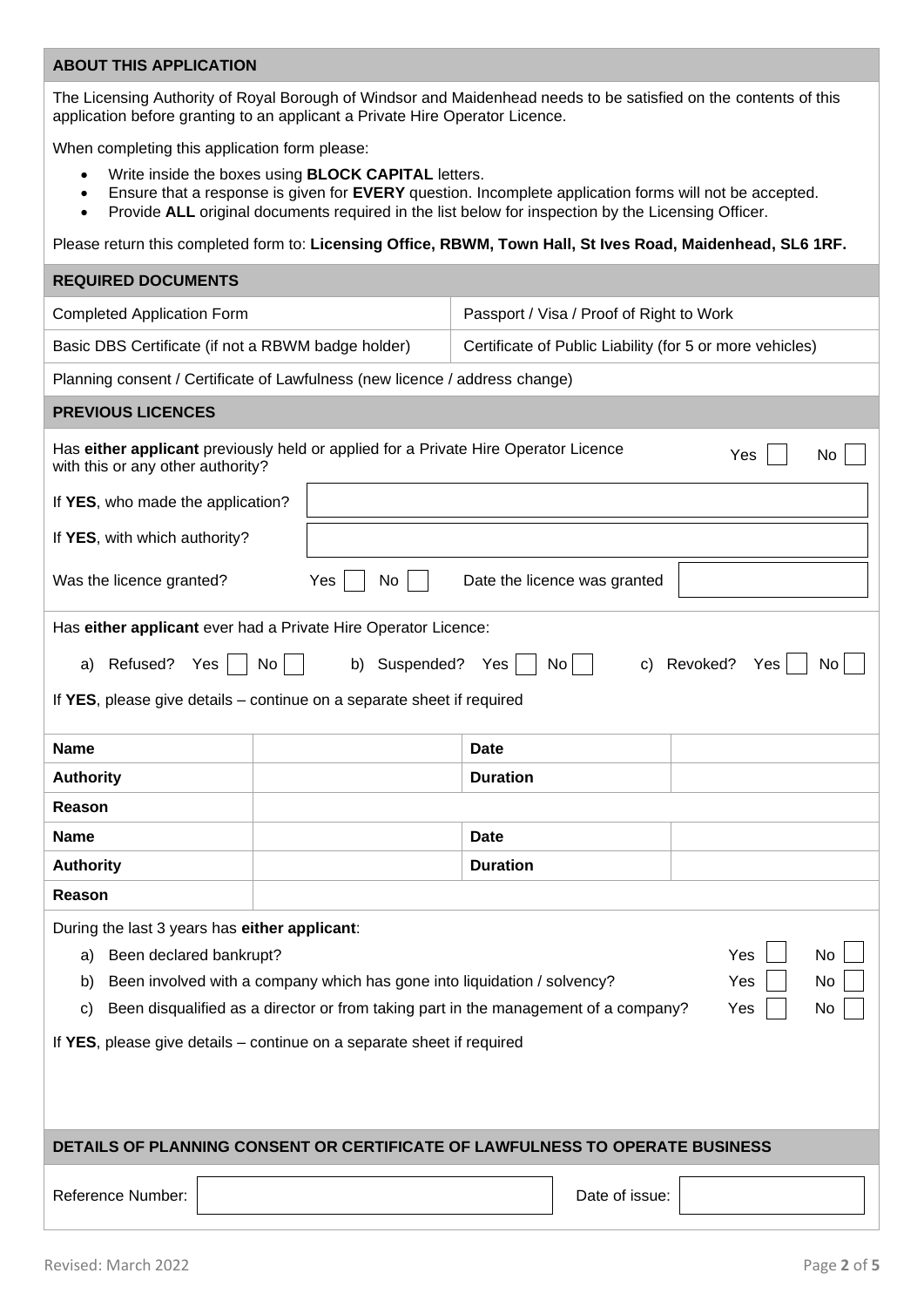## **ABOUT THIS APPLICATION**

The Licensing Authority of Royal Borough of Windsor and Maidenhead needs to be satisfied on the contents of this application before granting to an applicant a Private Hire Operator Licence.

When completing this application form please:

- Write inside the boxes using **BLOCK CAPITAL** letters.
- Ensure that a response is given for **EVERY** question. Incomplete application forms will not be accepted.
- Provide **ALL** original documents required in the list below for inspection by the Licensing Officer.

Please return this completed form to: **Licensing Office, RBWM, Town Hall, St Ives Road, Maidenhead, SL6 1RF.**

| <b>REQUIRED DOCUMENTS</b>                                                                                                             |                                   |                                                          |                              |                    |     |
|---------------------------------------------------------------------------------------------------------------------------------------|-----------------------------------|----------------------------------------------------------|------------------------------|--------------------|-----|
| <b>Completed Application Form</b>                                                                                                     |                                   | Passport / Visa / Proof of Right to Work                 |                              |                    |     |
| Basic DBS Certificate (if not a RBWM badge holder)                                                                                    |                                   | Certificate of Public Liability (for 5 or more vehicles) |                              |                    |     |
| Planning consent / Certificate of Lawfulness (new licence / address change)                                                           |                                   |                                                          |                              |                    |     |
| <b>PREVIOUS LICENCES</b>                                                                                                              |                                   |                                                          |                              |                    |     |
| Has either applicant previously held or applied for a Private Hire Operator Licence<br>Yes<br>No<br>with this or any other authority? |                                   |                                                          |                              |                    |     |
|                                                                                                                                       | If YES, who made the application? |                                                          |                              |                    |     |
| If YES, with which authority?                                                                                                         |                                   |                                                          |                              |                    |     |
| Was the licence granted?                                                                                                              | Yes<br>No                         |                                                          | Date the licence was granted |                    |     |
| Has either applicant ever had a Private Hire Operator Licence:                                                                        |                                   |                                                          |                              |                    |     |
| Refused?<br>Yes $ $<br>No<br>a)                                                                                                       | b) Suspended? Yes                 |                                                          | No <sub>1</sub>              | c) Revoked?<br>Yes | No. |
| If YES, please give details – continue on a separate sheet if required                                                                |                                   |                                                          |                              |                    |     |
| <b>Name</b>                                                                                                                           |                                   | Date                                                     |                              |                    |     |
| <b>Authority</b>                                                                                                                      |                                   | <b>Duration</b>                                          |                              |                    |     |
| Reason                                                                                                                                |                                   |                                                          |                              |                    |     |
| <b>Name</b>                                                                                                                           |                                   | <b>Date</b>                                              |                              |                    |     |
| <b>Authority</b>                                                                                                                      |                                   | <b>Duration</b>                                          |                              |                    |     |
| Reason                                                                                                                                |                                   |                                                          |                              |                    |     |
| During the last 3 years has either applicant:                                                                                         |                                   |                                                          |                              |                    |     |
| Been declared bankrupt?<br>Yes<br>No<br>a)                                                                                            |                                   |                                                          |                              |                    |     |
| Been involved with a company which has gone into liquidation / solvency?<br>Yes<br>No<br>b)                                           |                                   |                                                          |                              |                    |     |
| Been disqualified as a director or from taking part in the management of a company?<br>Yes<br>No<br>C)                                |                                   |                                                          |                              |                    |     |
| If YES, please give details - continue on a separate sheet if required                                                                |                                   |                                                          |                              |                    |     |
|                                                                                                                                       |                                   |                                                          |                              |                    |     |
|                                                                                                                                       |                                   |                                                          |                              |                    |     |
| DETAILS OF PLANNING CONSENT OR CERTIFICATE OF LAWFULNESS TO OPERATE BUSINESS                                                          |                                   |                                                          |                              |                    |     |
|                                                                                                                                       |                                   |                                                          |                              |                    |     |
| Reference Number:<br>Date of issue:                                                                                                   |                                   |                                                          |                              |                    |     |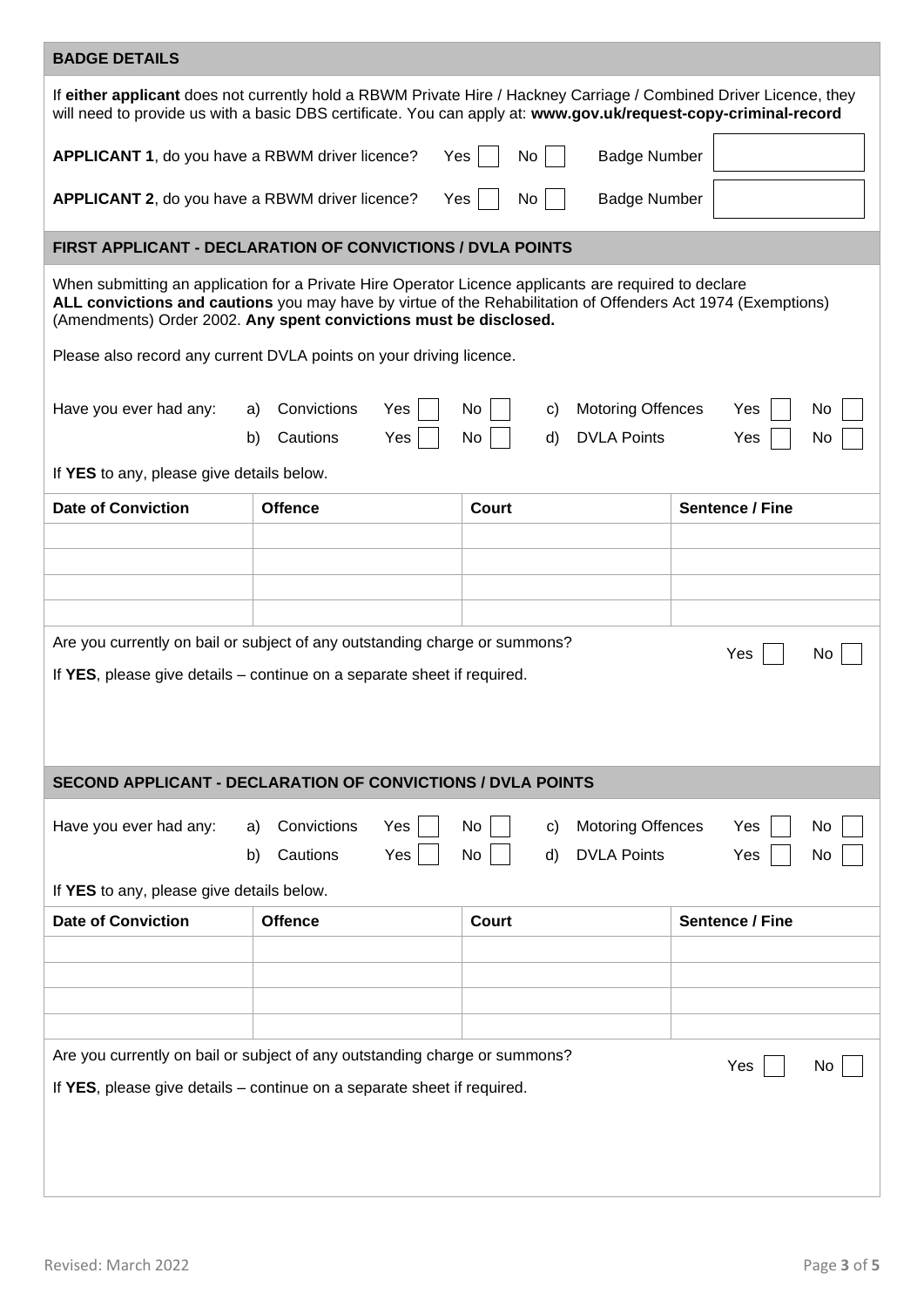| <b>BADGE DETAILS</b>                                                                                                                                                                                                                  |                                                                                                                                                       |                                                                                                                                                                                                                       |                        |  |  |
|---------------------------------------------------------------------------------------------------------------------------------------------------------------------------------------------------------------------------------------|-------------------------------------------------------------------------------------------------------------------------------------------------------|-----------------------------------------------------------------------------------------------------------------------------------------------------------------------------------------------------------------------|------------------------|--|--|
| If either applicant does not currently hold a RBWM Private Hire / Hackney Carriage / Combined Driver Licence, they<br>will need to provide us with a basic DBS certificate. You can apply at: www.gov.uk/request-copy-criminal-record |                                                                                                                                                       |                                                                                                                                                                                                                       |                        |  |  |
| APPLICANT 1, do you have a RBWM driver licence?                                                                                                                                                                                       |                                                                                                                                                       | No<br>Yes<br><b>Badge Number</b>                                                                                                                                                                                      |                        |  |  |
| APPLICANT 2, do you have a RBWM driver licence?                                                                                                                                                                                       |                                                                                                                                                       | Yes<br>No<br><b>Badge Number</b>                                                                                                                                                                                      |                        |  |  |
|                                                                                                                                                                                                                                       | <b>FIRST APPLICANT - DECLARATION OF CONVICTIONS / DVLA POINTS</b>                                                                                     |                                                                                                                                                                                                                       |                        |  |  |
|                                                                                                                                                                                                                                       | (Amendments) Order 2002. Any spent convictions must be disclosed.                                                                                     | When submitting an application for a Private Hire Operator Licence applicants are required to declare<br>ALL convictions and cautions you may have by virtue of the Rehabilitation of Offenders Act 1974 (Exemptions) |                        |  |  |
|                                                                                                                                                                                                                                       | Please also record any current DVLA points on your driving licence.                                                                                   |                                                                                                                                                                                                                       |                        |  |  |
| Have you ever had any:                                                                                                                                                                                                                | Convictions<br>Yes<br>a)<br>Cautions<br>Yes<br>b)                                                                                                     | <b>Motoring Offences</b><br>No<br>C)<br><b>DVLA Points</b><br>No<br>d)                                                                                                                                                | Yes<br>No<br>Yes<br>No |  |  |
| If YES to any, please give details below.                                                                                                                                                                                             |                                                                                                                                                       |                                                                                                                                                                                                                       |                        |  |  |
| <b>Date of Conviction</b>                                                                                                                                                                                                             | <b>Offence</b>                                                                                                                                        | Court                                                                                                                                                                                                                 | Sentence / Fine        |  |  |
|                                                                                                                                                                                                                                       |                                                                                                                                                       |                                                                                                                                                                                                                       |                        |  |  |
|                                                                                                                                                                                                                                       |                                                                                                                                                       |                                                                                                                                                                                                                       |                        |  |  |
|                                                                                                                                                                                                                                       |                                                                                                                                                       |                                                                                                                                                                                                                       |                        |  |  |
| Are you currently on bail or subject of any outstanding charge or summons?<br>Yes<br>No.<br>If YES, please give details – continue on a separate sheet if required.                                                                   |                                                                                                                                                       |                                                                                                                                                                                                                       |                        |  |  |
|                                                                                                                                                                                                                                       | <b>SECOND APPLICANT - DECLARATION OF CONVICTIONS / DVLA POINTS</b>                                                                                    |                                                                                                                                                                                                                       |                        |  |  |
| Convictions<br><b>Motoring Offences</b><br>Have you ever had any:<br>Yes<br>No<br>No<br>Yes<br>a)<br>C)<br><b>DVLA Points</b><br>Cautions<br>Yes<br>d)<br>b)<br>No<br>Yes<br>No                                                       |                                                                                                                                                       |                                                                                                                                                                                                                       |                        |  |  |
| If YES to any, please give details below.<br><b>Date of Conviction</b>                                                                                                                                                                | <b>Offence</b>                                                                                                                                        | <b>Court</b>                                                                                                                                                                                                          | Sentence / Fine        |  |  |
|                                                                                                                                                                                                                                       |                                                                                                                                                       |                                                                                                                                                                                                                       |                        |  |  |
|                                                                                                                                                                                                                                       |                                                                                                                                                       |                                                                                                                                                                                                                       |                        |  |  |
|                                                                                                                                                                                                                                       |                                                                                                                                                       |                                                                                                                                                                                                                       |                        |  |  |
|                                                                                                                                                                                                                                       | Are you currently on bail or subject of any outstanding charge or summons?<br>If YES, please give details – continue on a separate sheet if required. |                                                                                                                                                                                                                       | Yes<br>No              |  |  |
|                                                                                                                                                                                                                                       |                                                                                                                                                       |                                                                                                                                                                                                                       |                        |  |  |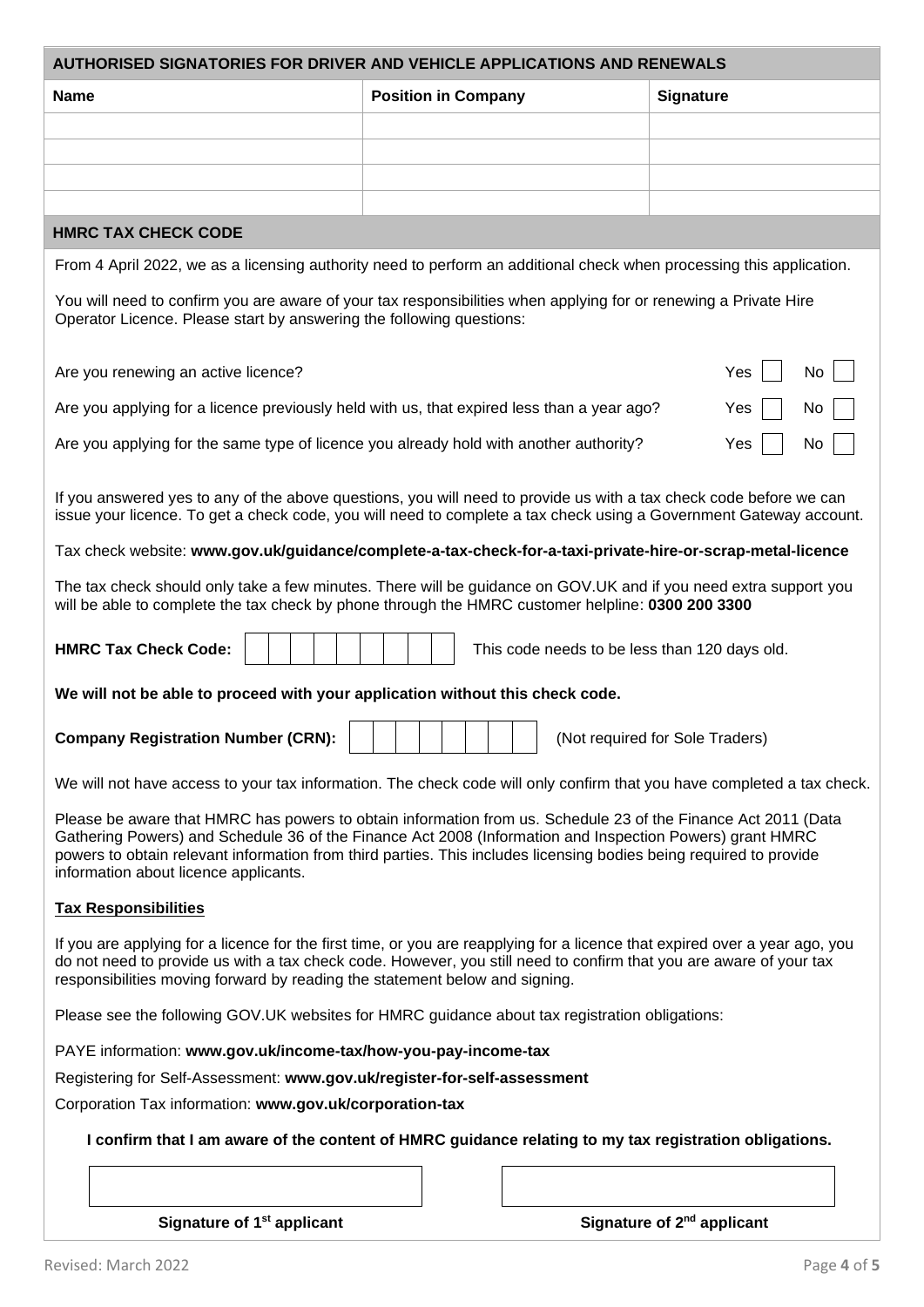| AUTHORISED SIGNATORIES FOR DRIVER AND VEHICLE APPLICATIONS AND RENEWALS                                                                                                                                                                                                                                                                                                                  |                            |  |                                        |  |  |
|------------------------------------------------------------------------------------------------------------------------------------------------------------------------------------------------------------------------------------------------------------------------------------------------------------------------------------------------------------------------------------------|----------------------------|--|----------------------------------------|--|--|
| <b>Name</b>                                                                                                                                                                                                                                                                                                                                                                              | <b>Position in Company</b> |  | <b>Signature</b>                       |  |  |
|                                                                                                                                                                                                                                                                                                                                                                                          |                            |  |                                        |  |  |
|                                                                                                                                                                                                                                                                                                                                                                                          |                            |  |                                        |  |  |
|                                                                                                                                                                                                                                                                                                                                                                                          |                            |  |                                        |  |  |
|                                                                                                                                                                                                                                                                                                                                                                                          |                            |  |                                        |  |  |
| <b>HMRC TAX CHECK CODE</b>                                                                                                                                                                                                                                                                                                                                                               |                            |  |                                        |  |  |
| From 4 April 2022, we as a licensing authority need to perform an additional check when processing this application.                                                                                                                                                                                                                                                                     |                            |  |                                        |  |  |
| You will need to confirm you are aware of your tax responsibilities when applying for or renewing a Private Hire<br>Operator Licence. Please start by answering the following questions:                                                                                                                                                                                                 |                            |  |                                        |  |  |
| Are you renewing an active licence?                                                                                                                                                                                                                                                                                                                                                      |                            |  | Yes<br>No                              |  |  |
| Are you applying for a licence previously held with us, that expired less than a year ago?                                                                                                                                                                                                                                                                                               |                            |  | No<br>Yes                              |  |  |
| Are you applying for the same type of licence you already hold with another authority?                                                                                                                                                                                                                                                                                                   |                            |  | Yes<br>No                              |  |  |
| If you answered yes to any of the above questions, you will need to provide us with a tax check code before we can<br>issue your licence. To get a check code, you will need to complete a tax check using a Government Gateway account.                                                                                                                                                 |                            |  |                                        |  |  |
| Tax check website: www.gov.uk/guidance/complete-a-tax-check-for-a-taxi-private-hire-or-scrap-metal-licence                                                                                                                                                                                                                                                                               |                            |  |                                        |  |  |
| The tax check should only take a few minutes. There will be guidance on GOV.UK and if you need extra support you<br>will be able to complete the tax check by phone through the HMRC customer helpline: 0300 200 3300                                                                                                                                                                    |                            |  |                                        |  |  |
| <b>HMRC Tax Check Code:</b><br>This code needs to be less than 120 days old.                                                                                                                                                                                                                                                                                                             |                            |  |                                        |  |  |
| We will not be able to proceed with your application without this check code.                                                                                                                                                                                                                                                                                                            |                            |  |                                        |  |  |
| <b>Company Registration Number (CRN):</b><br>(Not required for Sole Traders)                                                                                                                                                                                                                                                                                                             |                            |  |                                        |  |  |
| We will not have access to your tax information. The check code will only confirm that you have completed a tax check.                                                                                                                                                                                                                                                                   |                            |  |                                        |  |  |
| Please be aware that HMRC has powers to obtain information from us. Schedule 23 of the Finance Act 2011 (Data<br>Gathering Powers) and Schedule 36 of the Finance Act 2008 (Information and Inspection Powers) grant HMRC<br>powers to obtain relevant information from third parties. This includes licensing bodies being required to provide<br>information about licence applicants. |                            |  |                                        |  |  |
| <b>Tax Responsibilities</b>                                                                                                                                                                                                                                                                                                                                                              |                            |  |                                        |  |  |
| If you are applying for a licence for the first time, or you are reapplying for a licence that expired over a year ago, you<br>do not need to provide us with a tax check code. However, you still need to confirm that you are aware of your tax<br>responsibilities moving forward by reading the statement below and signing.                                                         |                            |  |                                        |  |  |
| Please see the following GOV.UK websites for HMRC guidance about tax registration obligations:                                                                                                                                                                                                                                                                                           |                            |  |                                        |  |  |
| PAYE information: www.gov.uk/income-tax/how-you-pay-income-tax                                                                                                                                                                                                                                                                                                                           |                            |  |                                        |  |  |
| Registering for Self-Assessment: www.gov.uk/register-for-self-assessment                                                                                                                                                                                                                                                                                                                 |                            |  |                                        |  |  |
| Corporation Tax information: www.gov.uk/corporation-tax                                                                                                                                                                                                                                                                                                                                  |                            |  |                                        |  |  |
| I confirm that I am aware of the content of HMRC guidance relating to my tax registration obligations.                                                                                                                                                                                                                                                                                   |                            |  |                                        |  |  |
|                                                                                                                                                                                                                                                                                                                                                                                          |                            |  |                                        |  |  |
| Signature of 1 <sup>st</sup> applicant                                                                                                                                                                                                                                                                                                                                                   |                            |  | Signature of 2 <sup>nd</sup> applicant |  |  |